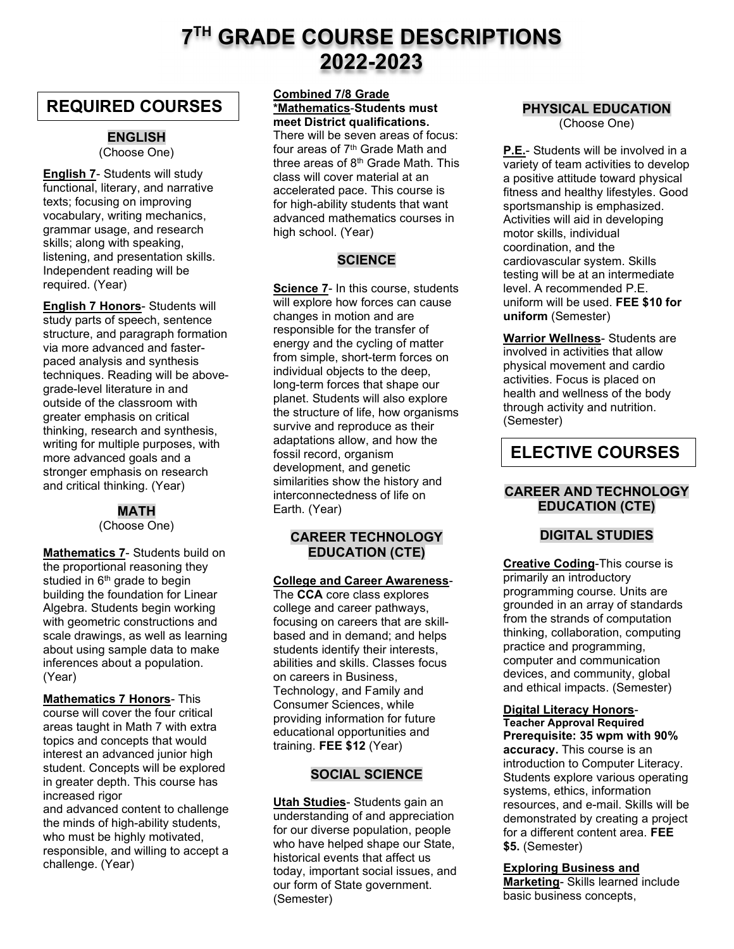# 7TH GRADE COURSE DESCRIPTIONS 2022-2023

## REQUIRED COURSES

#### ENGLISH (Choose One)

English 7- Students will study functional, literary, and narrative texts; focusing on improving vocabulary, writing mechanics, grammar usage, and research skills; along with speaking, listening, and presentation skills. Independent reading will be required. (Year)

English 7 Honors- Students will study parts of speech, sentence structure, and paragraph formation via more advanced and fasterpaced analysis and synthesis techniques. Reading will be abovegrade-level literature in and outside of the classroom with greater emphasis on critical thinking, research and synthesis, writing for multiple purposes, with more advanced goals and a stronger emphasis on research and critical thinking. (Year)

#### MATH (Choose One)

Mathematics 7- Students build on the proportional reasoning they studied in  $6<sup>th</sup>$  grade to begin building the foundation for Linear Algebra. Students begin working with geometric constructions and scale drawings, as well as learning about using sample data to make inferences about a population. (Year)

Mathematics 7 Honors- This course will cover the four critical areas taught in Math 7 with extra topics and concepts that would interest an advanced junior high student. Concepts will be explored in greater depth. This course has increased rigor

and advanced content to challenge the minds of high-ability students, who must be highly motivated, responsible, and willing to accept a challenge. (Year)

#### Combined 7/8 Grade \*Mathematics-Students must meet District qualifications.

There will be seven areas of focus: four areas of 7<sup>th</sup> Grade Math and three areas of 8<sup>th</sup> Grade Math. This class will cover material at an accelerated pace. This course is for high-ability students that want advanced mathematics courses in high school. (Year)

## **SCIENCE**

Science 7- In this course, students will explore how forces can cause changes in motion and are responsible for the transfer of energy and the cycling of matter from simple, short-term forces on individual objects to the deep, long-term forces that shape our planet. Students will also explore the structure of life, how organisms survive and reproduce as their adaptations allow, and how the fossil record, organism development, and genetic similarities show the history and interconnectedness of life on Earth. (Year)

#### CAREER TECHNOLOGY EDUCATION (CTE)

#### College and Career Awareness-

The CCA core class explores college and career pathways, focusing on careers that are skillbased and in demand; and helps students identify their interests, abilities and skills. Classes focus on careers in Business, Technology, and Family and Consumer Sciences, while providing information for future educational opportunities and training. FEE \$12 (Year)

### SOCIAL SCIENCE

Utah Studies- Students gain an understanding of and appreciation for our diverse population, people who have helped shape our State, historical events that affect us today, important social issues, and our form of State government. (Semester)

### PHYSICAL EDUCATION

(Choose One)

P.E.- Students will be involved in a variety of team activities to develop a positive attitude toward physical fitness and healthy lifestyles. Good sportsmanship is emphasized. Activities will aid in developing motor skills, individual coordination, and the cardiovascular system. Skills testing will be at an intermediate level. A recommended P.E. uniform will be used. FEE \$10 for uniform (Semester)

Warrior Wellness- Students are involved in activities that allow physical movement and cardio activities. Focus is placed on health and wellness of the body through activity and nutrition. (Semester)

## ELECTIVE COURSES

### CAREER AND TECHNOLOGY EDUCATION (CTE)

### DIGITAL STUDIES

Creative Coding-This course is primarily an introductory programming course. Units are grounded in an array of standards from the strands of computation thinking, collaboration, computing practice and programming, computer and communication devices, and community, global and ethical impacts. (Semester)

#### Digital Literacy Honors-Teacher Approval Required

Prerequisite: 35 wpm with 90% accuracy. This course is an introduction to Computer Literacy. Students explore various operating systems, ethics, information resources, and e-mail. Skills will be demonstrated by creating a project for a different content area. FEE \$5. (Semester)

## Exploring Business and

Marketing- Skills learned include basic business concepts,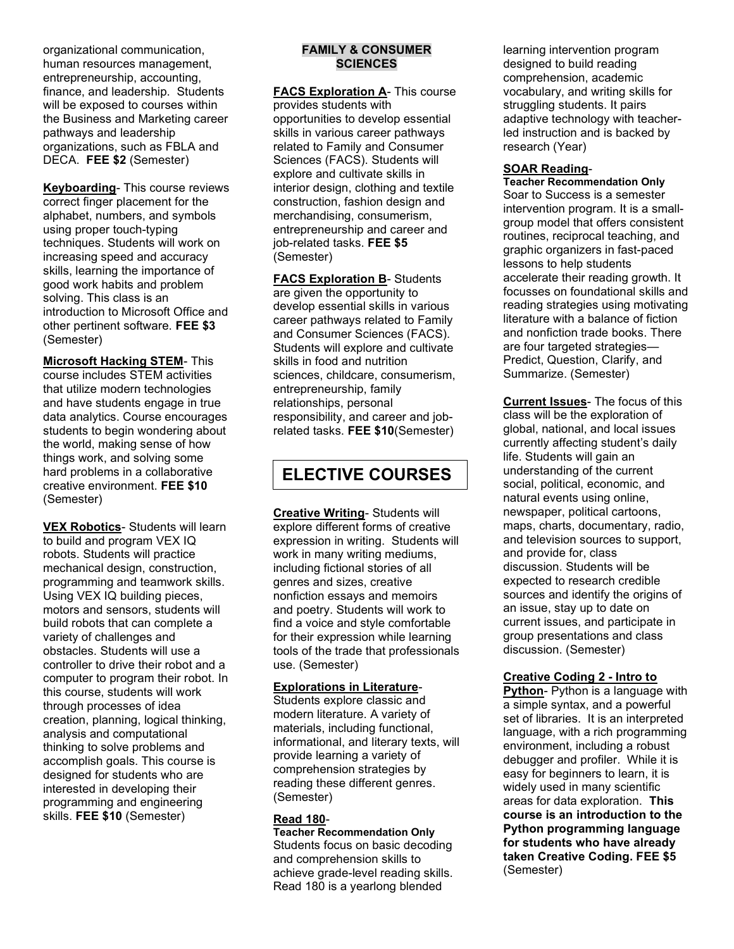organizational communication, human resources management, entrepreneurship, accounting, finance, and leadership. Students will be exposed to courses within the Business and Marketing career pathways and leadership organizations, such as FBLA and DECA. FEE \$2 (Semester)

Keyboarding- This course reviews correct finger placement for the alphabet, numbers, and symbols using proper touch-typing techniques. Students will work on increasing speed and accuracy skills, learning the importance of good work habits and problem solving. This class is an introduction to Microsoft Office and other pertinent software. FEE \$3 (Semester)

**Microsoft Hacking STEM- This** course includes STEM activities that utilize modern technologies and have students engage in true data analytics. Course encourages students to begin wondering about the world, making sense of how things work, and solving some hard problems in a collaborative creative environment. FEE \$10 (Semester)

**VEX Robotics**- Students will learn to build and program VEX IQ robots. Students will practice mechanical design, construction, programming and teamwork skills. Using VEX IQ building pieces, motors and sensors, students will build robots that can complete a variety of challenges and obstacles. Students will use a controller to drive their robot and a computer to program their robot. In this course, students will work through processes of idea creation, planning, logical thinking, analysis and computational thinking to solve problems and accomplish goals. This course is designed for students who are interested in developing their programming and engineering skills. FEE \$10 (Semester)

#### FAMILY & CONSUMER **SCIENCES**

FACS Exploration A- This course provides students with opportunities to develop essential skills in various career pathways related to Family and Consumer Sciences (FACS). Students will explore and cultivate skills in interior design, clothing and textile construction, fashion design and merchandising, consumerism, entrepreneurship and career and job-related tasks. FEE \$5 (Semester)

**FACS Exploration B- Students** are given the opportunity to develop essential skills in various career pathways related to Family and Consumer Sciences (FACS). Students will explore and cultivate skills in food and nutrition sciences, childcare, consumerism, entrepreneurship, family relationships, personal responsibility, and career and jobrelated tasks. FEE \$10(Semester)

## ELECTIVE COURSES

**Creative Writing- Students will** explore different forms of creative expression in writing. Students will work in many writing mediums, including fictional stories of all genres and sizes, creative nonfiction essays and memoirs and poetry. Students will work to find a voice and style comfortable for their expression while learning tools of the trade that professionals use. (Semester)

#### Explorations in Literature-

Students explore classic and modern literature. A variety of materials, including functional, informational, and literary texts, will provide learning a variety of comprehension strategies by reading these different genres. (Semester)

#### Read 180-

Teacher Recommendation Only Students focus on basic decoding and comprehension skills to achieve grade-level reading skills. Read 180 is a yearlong blended

learning intervention program designed to build reading comprehension, academic vocabulary, and writing skills for struggling students. It pairs adaptive technology with teacherled instruction and is backed by research (Year)

#### SOAR Reading-

Teacher Recommendation Only Soar to Success is a semester intervention program. It is a smallgroup model that offers consistent routines, reciprocal teaching, and graphic organizers in fast-paced lessons to help students accelerate their reading growth. It focusses on foundational skills and reading strategies using motivating literature with a balance of fiction and nonfiction trade books. There are four targeted strategies— Predict, Question, Clarify, and Summarize. (Semester)

Current Issues- The focus of this class will be the exploration of global, national, and local issues currently affecting student's daily life. Students will gain an understanding of the current social, political, economic, and natural events using online, newspaper, political cartoons, maps, charts, documentary, radio, and television sources to support, and provide for, class discussion. Students will be expected to research credible sources and identify the origins of an issue, stay up to date on current issues, and participate in group presentations and class discussion. (Semester)

#### Creative Coding 2 - Intro to

Python- Python is a language with a simple syntax, and a powerful set of libraries. It is an interpreted language, with a rich programming environment, including a robust debugger and profiler. While it is easy for beginners to learn, it is widely used in many scientific areas for data exploration. This course is an introduction to the Python programming language for students who have already taken Creative Coding. FEE \$5 (Semester)